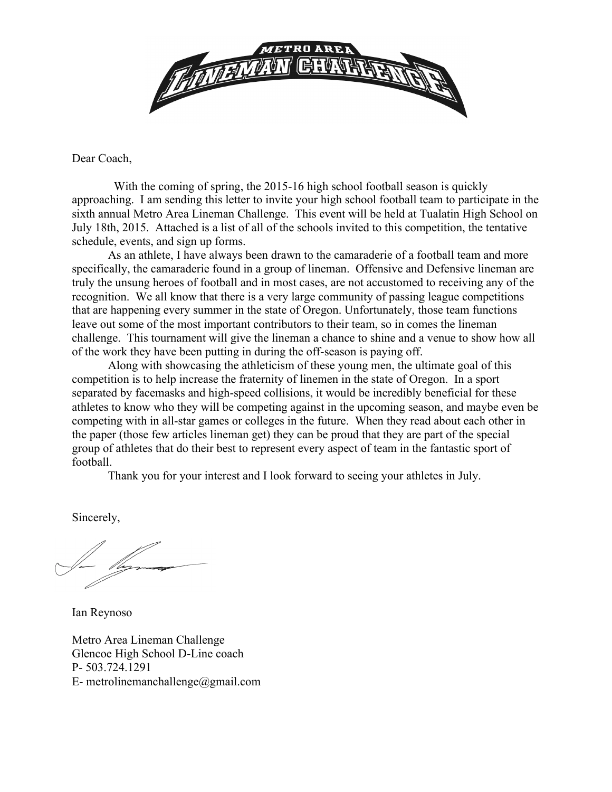

Dear Coach,

 With the coming of spring, the 2015-16 high school football season is quickly approaching. I am sending this letter to invite your high school football team to participate in the sixth annual Metro Area Lineman Challenge. This event will be held at Tualatin High School on July 18th, 2015. Attached is a list of all of the schools invited to this competition, the tentative schedule, events, and sign up forms.

As an athlete, I have always been drawn to the camaraderie of a football team and more specifically, the camaraderie found in a group of lineman. Offensive and Defensive lineman are truly the unsung heroes of football and in most cases, are not accustomed to receiving any of the recognition. We all know that there is a very large community of passing league competitions that are happening every summer in the state of Oregon. Unfortunately, those team functions leave out some of the most important contributors to their team, so in comes the lineman challenge. This tournament will give the lineman a chance to shine and a venue to show how all of the work they have been putting in during the off-season is paying off.

Along with showcasing the athleticism of these young men, the ultimate goal of this competition is to help increase the fraternity of linemen in the state of Oregon. In a sport separated by facemasks and high-speed collisions, it would be incredibly beneficial for these athletes to know who they will be competing against in the upcoming season, and maybe even be competing with in all-star games or colleges in the future. When they read about each other in the paper (those few articles lineman get) they can be proud that they are part of the special group of athletes that do their best to represent every aspect of team in the fantastic sport of football.

Thank you for your interest and I look forward to seeing your athletes in July.

Sincerely,

Ian Reynoso

Metro Area Lineman Challenge Glencoe High School D-Line coach P- 503.724.1291 E- metrolinemanchallenge@gmail.com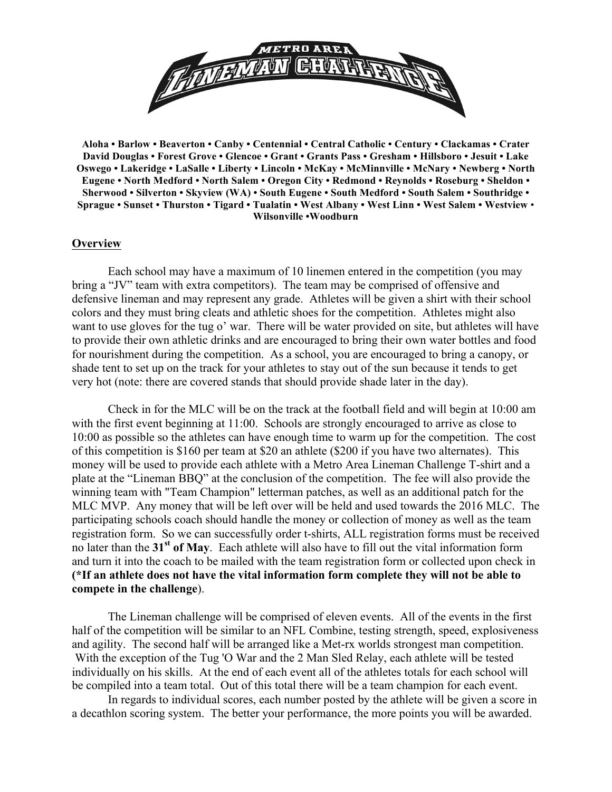

**Aloha • Barlow • Beaverton • Canby • Centennial • Central Catholic • Century • Clackamas • Crater David Douglas • Forest Grove • Glencoe • Grant • Grants Pass • Gresham • Hillsboro • Jesuit • Lake Oswego • Lakeridge • LaSalle • Liberty • Lincoln • McKay • McMinnville • McNary • Newberg • North Eugene • North Medford • North Salem • Oregon City • Redmond • Reynolds • Roseburg • Sheldon • Sherwood • Silverton • Skyview (WA) • South Eugene • South Medford • South Salem • Southridge • Sprague • Sunset • Thurston • Tigard • Tualatin • West Albany • West Linn • West Salem • Westview** • **Wilsonville •Woodburn**

#### **Overview**

Each school may have a maximum of 10 linemen entered in the competition (you may bring a "JV" team with extra competitors). The team may be comprised of offensive and defensive lineman and may represent any grade. Athletes will be given a shirt with their school colors and they must bring cleats and athletic shoes for the competition. Athletes might also want to use gloves for the tug o' war. There will be water provided on site, but athletes will have to provide their own athletic drinks and are encouraged to bring their own water bottles and food for nourishment during the competition. As a school, you are encouraged to bring a canopy, or shade tent to set up on the track for your athletes to stay out of the sun because it tends to get very hot (note: there are covered stands that should provide shade later in the day).

Check in for the MLC will be on the track at the football field and will begin at 10:00 am with the first event beginning at 11:00. Schools are strongly encouraged to arrive as close to 10:00 as possible so the athletes can have enough time to warm up for the competition. The cost of this competition is \$160 per team at \$20 an athlete (\$200 if you have two alternates). This money will be used to provide each athlete with a Metro Area Lineman Challenge T-shirt and a plate at the "Lineman BBQ" at the conclusion of the competition. The fee will also provide the winning team with "Team Champion" letterman patches, as well as an additional patch for the MLC MVP. Any money that will be left over will be held and used towards the 2016 MLC. The participating schools coach should handle the money or collection of money as well as the team registration form. So we can successfully order t-shirts, ALL registration forms must be received no later than the **31st of May**. Each athlete will also have to fill out the vital information form and turn it into the coach to be mailed with the team registration form or collected upon check in **(\*If an athlete does not have the vital information form complete they will not be able to compete in the challenge**).

The Lineman challenge will be comprised of eleven events. All of the events in the first half of the competition will be similar to an NFL Combine, testing strength, speed, explosiveness and agility. The second half will be arranged like a Met-rx worlds strongest man competition. With the exception of the Tug 'O War and the 2 Man Sled Relay, each athlete will be tested individually on his skills. At the end of each event all of the athletes totals for each school will be compiled into a team total. Out of this total there will be a team champion for each event.

In regards to individual scores, each number posted by the athlete will be given a score in a decathlon scoring system. The better your performance, the more points you will be awarded.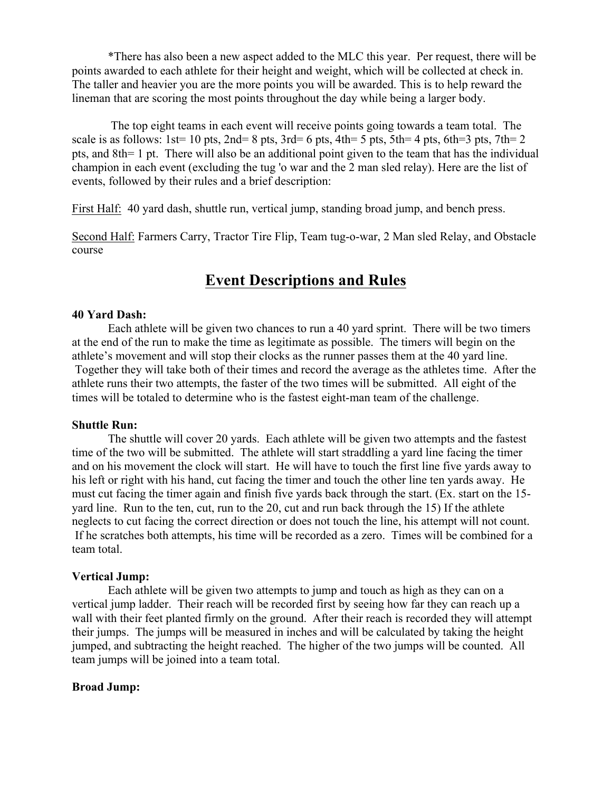\*There has also been a new aspect added to the MLC this year. Per request, there will be points awarded to each athlete for their height and weight, which will be collected at check in. The taller and heavier you are the more points you will be awarded. This is to help reward the lineman that are scoring the most points throughout the day while being a larger body.

The top eight teams in each event will receive points going towards a team total. The scale is as follows:  $1st= 10$  pts,  $2nd= 8$  pts,  $3rd= 6$  pts,  $4th= 5$  pts,  $5th= 4$  pts,  $6th=3$  pts,  $7th= 2$ pts, and 8th= 1 pt. There will also be an additional point given to the team that has the individual champion in each event (excluding the tug 'o war and the 2 man sled relay). Here are the list of events, followed by their rules and a brief description:

First Half: 40 yard dash, shuttle run, vertical jump, standing broad jump, and bench press.

Second Half: Farmers Carry, Tractor Tire Flip, Team tug-o-war, 2 Man sled Relay, and Obstacle course

## **Event Descriptions and Rules**

#### **40 Yard Dash:**

Each athlete will be given two chances to run a 40 yard sprint. There will be two timers at the end of the run to make the time as legitimate as possible. The timers will begin on the athlete's movement and will stop their clocks as the runner passes them at the 40 yard line. Together they will take both of their times and record the average as the athletes time. After the athlete runs their two attempts, the faster of the two times will be submitted. All eight of the times will be totaled to determine who is the fastest eight-man team of the challenge.

#### **Shuttle Run:**

The shuttle will cover 20 yards. Each athlete will be given two attempts and the fastest time of the two will be submitted. The athlete will start straddling a yard line facing the timer and on his movement the clock will start. He will have to touch the first line five yards away to his left or right with his hand, cut facing the timer and touch the other line ten yards away. He must cut facing the timer again and finish five yards back through the start. (Ex. start on the 15 yard line. Run to the ten, cut, run to the 20, cut and run back through the 15) If the athlete neglects to cut facing the correct direction or does not touch the line, his attempt will not count. If he scratches both attempts, his time will be recorded as a zero. Times will be combined for a team total.

## **Vertical Jump:**

Each athlete will be given two attempts to jump and touch as high as they can on a vertical jump ladder. Their reach will be recorded first by seeing how far they can reach up a wall with their feet planted firmly on the ground. After their reach is recorded they will attempt their jumps. The jumps will be measured in inches and will be calculated by taking the height jumped, and subtracting the height reached. The higher of the two jumps will be counted. All team jumps will be joined into a team total.

#### **Broad Jump:**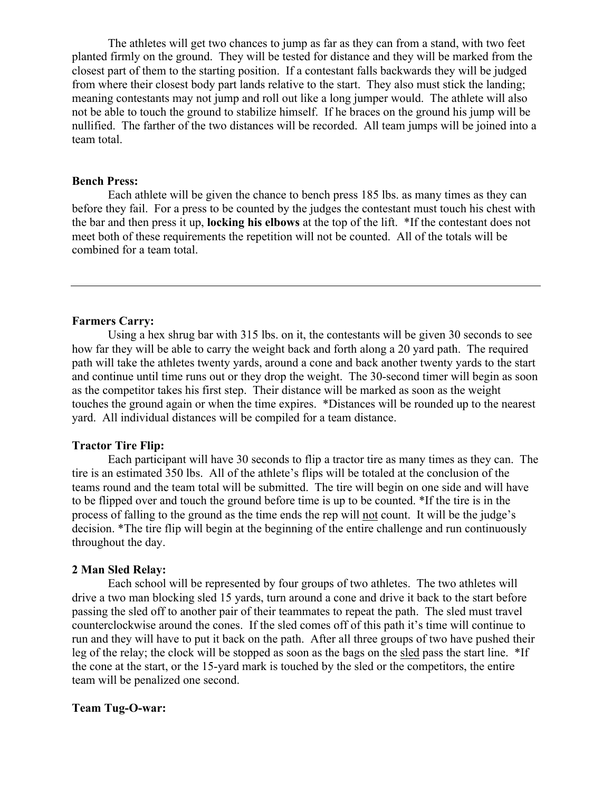The athletes will get two chances to jump as far as they can from a stand, with two feet planted firmly on the ground. They will be tested for distance and they will be marked from the closest part of them to the starting position. If a contestant falls backwards they will be judged from where their closest body part lands relative to the start. They also must stick the landing; meaning contestants may not jump and roll out like a long jumper would. The athlete will also not be able to touch the ground to stabilize himself. If he braces on the ground his jump will be nullified. The farther of the two distances will be recorded. All team jumps will be joined into a team total.

### **Bench Press:**

Each athlete will be given the chance to bench press 185 lbs. as many times as they can before they fail. For a press to be counted by the judges the contestant must touch his chest with the bar and then press it up, **locking his elbows** at the top of the lift. \*If the contestant does not meet both of these requirements the repetition will not be counted. All of the totals will be combined for a team total.

### **Farmers Carry:**

Using a hex shrug bar with 315 lbs. on it, the contestants will be given 30 seconds to see how far they will be able to carry the weight back and forth along a 20 yard path. The required path will take the athletes twenty yards, around a cone and back another twenty yards to the start and continue until time runs out or they drop the weight. The 30-second timer will begin as soon as the competitor takes his first step. Their distance will be marked as soon as the weight touches the ground again or when the time expires. \*Distances will be rounded up to the nearest yard. All individual distances will be compiled for a team distance.

## **Tractor Tire Flip:**

Each participant will have 30 seconds to flip a tractor tire as many times as they can. The tire is an estimated 350 lbs. All of the athlete's flips will be totaled at the conclusion of the teams round and the team total will be submitted. The tire will begin on one side and will have to be flipped over and touch the ground before time is up to be counted. \*If the tire is in the process of falling to the ground as the time ends the rep will not count. It will be the judge's decision. \*The tire flip will begin at the beginning of the entire challenge and run continuously throughout the day.

#### **2 Man Sled Relay:**

Each school will be represented by four groups of two athletes. The two athletes will drive a two man blocking sled 15 yards, turn around a cone and drive it back to the start before passing the sled off to another pair of their teammates to repeat the path. The sled must travel counterclockwise around the cones. If the sled comes off of this path it's time will continue to run and they will have to put it back on the path. After all three groups of two have pushed their leg of the relay; the clock will be stopped as soon as the bags on the sled pass the start line. \*If the cone at the start, or the 15-yard mark is touched by the sled or the competitors, the entire team will be penalized one second.

#### **Team Tug-O-war:**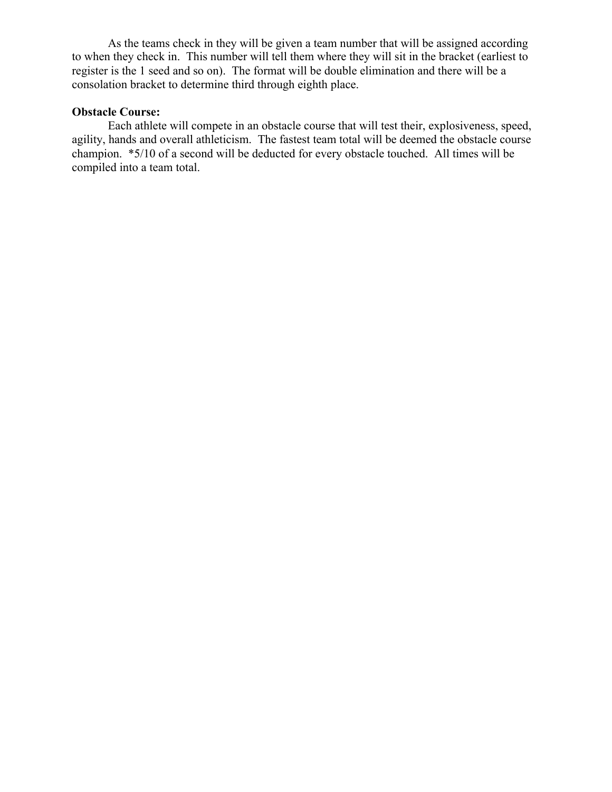As the teams check in they will be given a team number that will be assigned according to when they check in. This number will tell them where they will sit in the bracket (earliest to register is the 1 seed and so on). The format will be double elimination and there will be a consolation bracket to determine third through eighth place.

## **Obstacle Course:**

Each athlete will compete in an obstacle course that will test their, explosiveness, speed, agility, hands and overall athleticism. The fastest team total will be deemed the obstacle course champion. \*5/10 of a second will be deducted for every obstacle touched. All times will be compiled into a team total.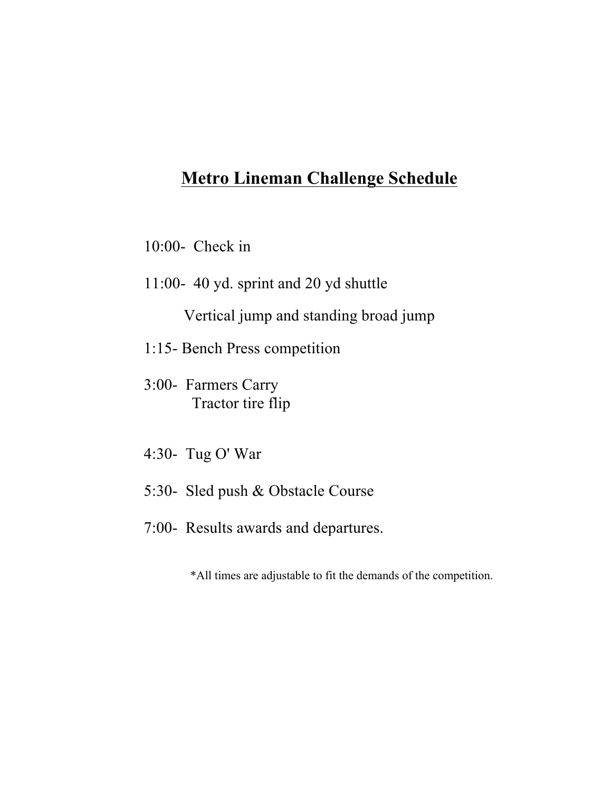# **Metro Lineman Challenge Schedule**

10:00- Check in

11:00- 40 yd. sprint and 20 yd shuttle

Vertical jump and standing broad jump

1:15- Bench Press competition

3:00- Farmers Carry Tractor tire flip

- 4:30- Tug O' War
- 5:30- Sled push & Obstacle Course
- 7:00- Results awards and departures.

\*All times are adjustable to fit the demands of the competition.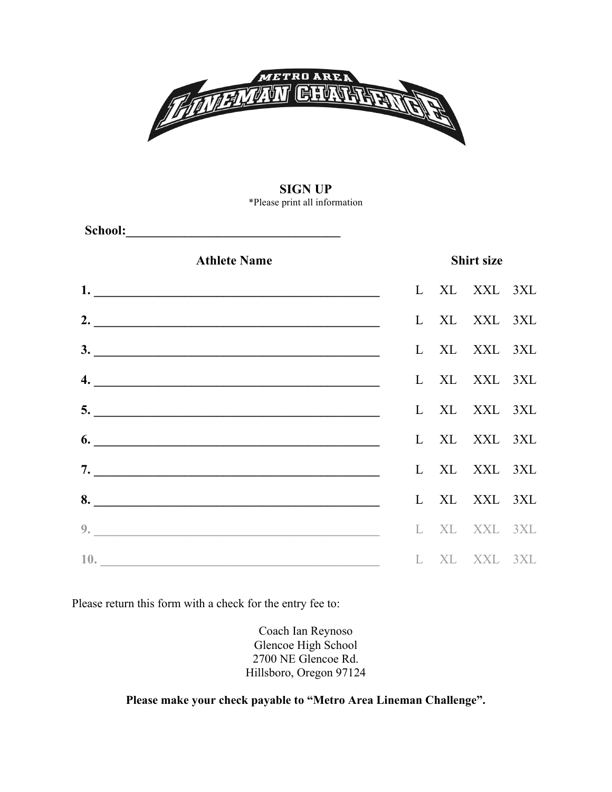

### **SIGN UP** \*Please print all information

Athlete Name Shirt size **1. \_\_\_\_\_\_\_\_\_\_\_\_\_\_\_\_\_\_\_\_\_\_\_\_\_\_\_\_\_\_\_\_\_\_\_\_\_\_\_\_\_\_\_\_** L XL XXL 3XL **2. \_\_\_\_\_\_\_\_\_\_\_\_\_\_\_\_\_\_\_\_\_\_\_\_\_\_\_\_\_\_\_\_\_\_\_\_\_\_\_\_\_\_\_\_** L XL XXL 3XL **3. \_\_\_\_\_\_\_\_\_\_\_\_\_\_\_\_\_\_\_\_\_\_\_\_\_\_\_\_\_\_\_\_\_\_\_\_\_\_\_\_\_\_\_\_** L XL XXL 3XL **4. \_\_\_\_\_\_\_\_\_\_\_\_\_\_\_\_\_\_\_\_\_\_\_\_\_\_\_\_\_\_\_\_\_\_\_\_\_\_\_\_\_\_\_\_** L XL XXL 3XL **5. \_\_\_\_\_\_\_\_\_\_\_\_\_\_\_\_\_\_\_\_\_\_\_\_\_\_\_\_\_\_\_\_\_\_\_\_\_\_\_\_\_\_\_\_** L XL XXL 3XL **6. \_\_\_\_\_\_\_\_\_\_\_\_\_\_\_\_\_\_\_\_\_\_\_\_\_\_\_\_\_\_\_\_\_\_\_\_\_\_\_\_\_\_\_\_** L XL XXL 3XL **7. \_\_\_\_\_\_\_\_\_\_\_\_\_\_\_\_\_\_\_\_\_\_\_\_\_\_\_\_\_\_\_\_\_\_\_\_\_\_\_\_\_\_\_\_** L XL XXL 3XL **8. \_\_\_\_\_\_\_\_\_\_\_\_\_\_\_\_\_\_\_\_\_\_\_\_\_\_\_\_\_\_\_\_\_\_\_\_\_\_\_\_\_\_\_\_** L XL XXL 3XL **9. \_\_\_\_\_\_\_\_\_\_\_\_\_\_\_\_\_\_\_\_\_\_\_\_\_\_\_\_\_\_\_\_\_\_\_\_\_\_\_\_\_\_\_\_** L XL XXL 3XL **10. \_\_\_\_\_\_\_\_\_\_\_\_\_\_\_\_\_\_\_\_\_\_\_\_\_\_\_\_\_\_\_\_\_\_\_\_\_\_\_\_\_\_\_** L XL XXL 3XL

Please return this form with a check for the entry fee to:

 **School:\_\_\_\_\_\_\_\_\_\_\_\_\_\_\_\_\_\_\_\_\_\_\_\_\_\_\_\_\_\_\_\_\_**

Coach Ian Reynoso Glencoe High School 2700 NE Glencoe Rd. Hillsboro, Oregon 97124

**Please make your check payable to "Metro Area Lineman Challenge".**